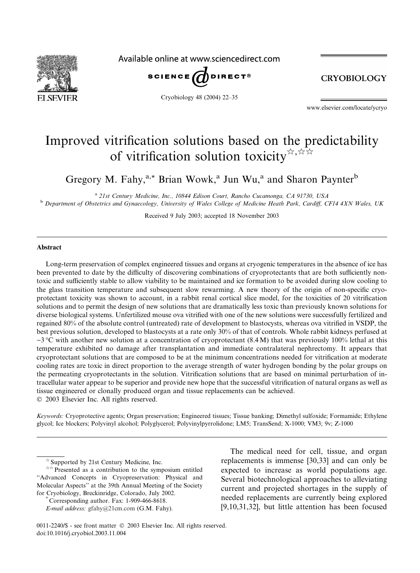

Available online at www.sciencedirect.com



Cryobiology 48 (2004) 22–35

**CRYOBIOLOGY** 

www.elsevier.com/locate/ycryo

# Improved vitrification solutions based on the predictability of vitrification solution toxicity $\forall x, \forall x$

Gregory M. Fahy, $a^*$  Brian Wowk, $a^*$  Jun Wu, $a^*$  and Sharon Paynterb

<sup>a</sup> 21st Century Medicine, Inc., 10844 Edison Court, Rancho Cucamonga, CA 91730, USA <sup>b</sup> Department of Obstetrics and Gynaecology, University of Wales College of Medicine Heath Park, Cardiff, CF14 4XN Wales, UK

Received 9 July 2003; accepted 18 November 2003

#### Abstract

Long-term preservation of complex engineered tissues and organs at cryogenic temperatures in the absence of ice has been prevented to date by the difficulty of discovering combinations of cryoprotectants that are both sufficiently nontoxic and sufficiently stable to allow viability to be maintained and ice formation to be avoided during slow cooling to the glass transition temperature and subsequent slow rewarming. A new theory of the origin of non-specific cryoprotectant toxicity was shown to account, in a rabbit renal cortical slice model, for the toxicities of 20 vitrification solutions and to permit the design of new solutions that are dramatically less toxic than previously known solutions for diverse biological systems. Unfertilized mouse ova vitrified with one of the new solutions were successfully fertilized and regained 80% of the absolute control (untreated) rate of development to blastocysts, whereas ova vitrified in VSDP, the best previous solution, developed to blastocysts at a rate only 30% of that of controls. Whole rabbit kidneys perfused at  $-3$  °C with another new solution at a concentration of cryoprotectant (8.4 M) that was previously 100% lethal at this temperature exhibited no damage after transplantation and immediate contralateral nephrectomy. It appears that cryoprotectant solutions that are composed to be at the minimum concentrations needed for vitrification at moderate cooling rates are toxic in direct proportion to the average strength of water hydrogen bonding by the polar groups on the permeating cryoprotectants in the solution. Vitrification solutions that are based on minimal perturbation of intracellular water appear to be superior and provide new hope that the successful vitrification of natural organs as well as tissue engineered or clonally produced organ and tissue replacements can be achieved.  $© 2003 Elsevier Inc. All rights reserved.$ 

Keywords: Cryoprotective agents; Organ preservation; Engineered tissues; Tissue banking; Dimethyl sulfoxide; Formamide; Ethylene glycol; Ice blockers; Polyvinyl alcohol; Polyglycerol; Polyvinylpyrrolidone; LM5; TransSend; X-1000; VM3; 9v; Z-1000

 $*$  Supported by 21st Century Medicine, Inc.

 $\overrightarrow{r}$  Presented as a contribution to the symposium entitled ''Advanced Concepts in Cryopreservation: Physical and Molecular Aspects'' at the 39th Annual Meeting of the Society for Cryobiology, Breckinridge, Colorado, July 2002. \* Corresponding author. Fax: 1-909-466-8618.

E-mail address: [gfahy@21cm.com](mail to: gfahy@21cm.com) (G.M. Fahy).

The medical need for cell, tissue, and organ replacements is immense [30,33] and can only be expected to increase as world populations age. Several biotechnological approaches to alleviating current and projected shortages in the supply of needed replacements are currently being explored [9,10,31,32], but little attention has been focused

0011-2240/\$ - see front matter © 2003 Elsevier Inc. All rights reserved. doi:10.1016/j.cryobiol.2003.11.004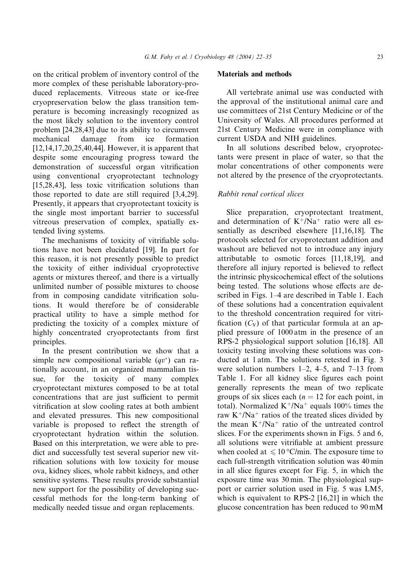on the critical problem of inventory control of the more complex of these perishable laboratory-produced replacements. Vitreous state or ice-free cryopreservation below the glass transition temperature is becoming increasingly recognized as the most likely solution to the inventory control problem [24,28,43] due to its ability to circumvent mechanical damage from ice formation [12,14,17,20,25,40,44]. However, it is apparent that despite some encouraging progress toward the demonstration of successful organ vitrification using conventional cryoprotectant technology [15,28,43], less toxic vitrification solutions than those reported to date are still required [3,4,29]. Presently, it appears that cryoprotectant toxicity is the single most important barrier to successful vitreous preservation of complex, spatially extended living systems.

The mechanisms of toxicity of vitrifiable solutions have not been elucidated [19]. In part for this reason, it is not presently possible to predict the toxicity of either individual cryoprotective agents or mixtures thereof, and there is a virtually unlimited number of possible mixtures to choose from in composing candidate vitrification solutions. It would therefore be of considerable practical utility to have a simple method for predicting the toxicity of a complex mixture of highly concentrated cryoprotectants from first principles.

In the present contribution we show that a simple new compositional variable  $(qv^*)$  can rationally account, in an organized mammalian tissue, for the toxicity of many complex cryoprotectant mixtures composed to be at total concentrations that are just sufficient to permit vitrification at slow cooling rates at both ambient and elevated pressures. This new compositional variable is proposed to reflect the strength of cryoprotectant hydration within the solution. Based on this interpretation, we were able to predict and successfully test several superior new vitrification solutions with low toxicity for mouse ova, kidney slices, whole rabbit kidneys, and other sensitive systems. These results provide substantial new support for the possibility of developing successful methods for the long-term banking of medically needed tissue and organ replacements.

#### Materials and methods

All vertebrate animal use was conducted with the approval of the institutional animal care and use committees of 21st Century Medicine or of the University of Wales. All procedures performed at 21st Century Medicine were in compliance with current USDA and NIH guidelines.

In all solutions described below, cryoprotectants were present in place of water, so that the molar concentrations of other components were not altered by the presence of the cryoprotectants.

## Rabbit renal cortical slices

Slice preparation, cryoprotectant treatment, and determination of  $K^+/Na^+$  ratio were all essentially as described elsewhere [11,16,18]. The protocols selected for cryoprotectant addition and washout are believed not to introduce any injury attributable to osmotic forces [11,18,19], and therefore all injury reported is believed to reflect the intrinsic physicochemical effect of the solutions being tested. The solutions whose effects are described in Figs. 1–4 are described in Table 1. Each of these solutions had a concentration equivalent to the threshold concentration required for vitrification  $(C_V)$  of that particular formula at an applied pressure of 1000 atm in the presence of an RPS-2 physiological support solution [16,18]. All toxicity testing involving these solutions was conducted at 1 atm. The solutions retested in Fig. 3 were solution numbers 1–2, 4–5, and 7–13 from Table 1. For all kidney slice figures each point generally represents the mean of two replicate groups of six slices each  $(n = 12$  for each point, in total). Normalized  $K^+/Na^+$  equals 100% times the raw  $K^+/Na^+$  ratios of the treated slices divided by the mean  $K^+/Na^+$  ratio of the untreated control slices. For the experiments shown in Figs. 5 and 6, all solutions were vitrifiable at ambient pressure when cooled at  $\leq 10$  °C/min. The exposure time to each full-strength vitrification solution was 40 min in all slice figures except for Fig. 5, in which the exposure time was 30 min. The physiological support or carrier solution used in Fig. 5 was LM5, which is equivalent to RPS-2 [16,21] in which the glucose concentration has been reduced to 90 mM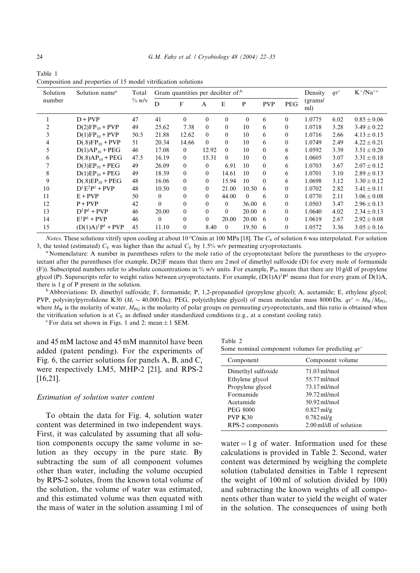| Solution | Solution name <sup>a</sup> | Total    | Gram quantities per deciliter of. <sup>b</sup> |              |              |              | Density  | $qv^*$     | $K^+/Na^{+c}$ |                |      |                 |
|----------|----------------------------|----------|------------------------------------------------|--------------|--------------|--------------|----------|------------|---------------|----------------|------|-----------------|
| number   |                            | $\%$ w/v | D                                              | $\mathbf{F}$ | A            | E            | P        | <b>PVP</b> | <b>PEG</b>    | (grams/<br>ml) |      |                 |
|          | $D + PVP$                  | 47       | 41                                             | $\theta$     | $\mathbf{0}$ | $\theta$     | $\Omega$ | 6          | $\theta$      | 1.0775         | 6.02 | $0.85 \pm 0.06$ |
| 2        | $D(2)FP_{10} + PVP$        | 49       | 25.62                                          | 7.38         | $\theta$     | $\theta$     | 10       | 6          | $\theta$      | 1.0718         | 3.28 | $3.49 \pm 0.22$ |
| 3        | $D(1)FP_{10} + PVP$        | 50.5     | 21.88                                          | 12.62        | $\theta$     | $\theta$     | 10       | 6          | $\theta$      | 1.0716         | 2.66 | $4.13 \pm 0.15$ |
| 4        | $D(.8)FP10 + PVP$          | 51       | 20.34                                          | 14.66        | $\theta$     | $\theta$     | 10       | 6          | $\Omega$      | 1.0749         | 2.49 | $4.22 \pm 0.21$ |
| 5        | $D(1)AP_{10} + PEG$        | 46       | 17.08                                          | $\theta$     | 12.92        | $\theta$     | 10       | $\theta$   | 6             | 1.0592         | 3.39 | $3.51 \pm 0.20$ |
| 6        | $D(.8)AP_{10} + PEG$       | 47.5     | 16.19                                          | $\theta$     | 15.31        | $\Omega$     | 10       | $\theta$   | 6             | 1.0605         | 3.07 | $3.31 \pm 0.18$ |
|          | $D(3)EP_{10} + PEG$        | 49       | 26.09                                          | $\theta$     | $\theta$     | 6.91         | 10       | $\theta$   | 6             | 1.0703         | 3.67 | $2.07 \pm 0.12$ |
| 8        | $D(1)EP_{10} + PEG$        | 49       | 18.39                                          | $\theta$     | $\theta$     | 14.61        | 10       | $\theta$   | 6             | 1.0701         | 3.10 | $2.89 \pm 0.13$ |
| 9        | $D(.8)EP_{10} + PEG$       | 48       | 16.06                                          | $\theta$     | $\mathbf{0}$ | 15.94        | 10       | $\theta$   | 6             | 1.0698         | 3.12 | $3.30 \pm 0.12$ |
| 10       | $D^1E^2P^1 + PVP$          | 48       | 10.50                                          | $\theta$     | $\mathbf{0}$ | 21.00        | 10.50    | 6          | $\theta$      | 1.0702         | 2.82 | $3.41 \pm 0.11$ |
| 11       | $E + PVP$                  | 50       | $\mathbf{0}$                                   | $\theta$     | $\mathbf{0}$ | 44.00        | $\Omega$ | 6          | $\theta$      | 1.0770         | 2.11 | $3.06 \pm 0.08$ |
| 12       | $P + PVP$                  | 42       | $\mathbf{0}$                                   | $\mathbf{0}$ | $\mathbf{0}$ | $\theta$     | 36.00    | 6          | $\theta$      | 1.0503         | 3.47 | $2.96 \pm 0.13$ |
| 13       | $D^1P^1 + PVP$             | 46       | 20.00                                          | $\mathbf{0}$ | $\mathbf{0}$ | $\mathbf{0}$ | 20.00    | 6          | $\theta$      | 1.0640         | 4.02 | $2.34 \pm 0.13$ |
| 14       | $E^1P^1$ + PVP             | 46       | $\mathbf{0}$                                   | $\mathbf{0}$ | $\theta$     | 20.00        | 20.00    | 6          | $\theta$      | 1.0619         | 2.67 | $2.92 \pm 0.08$ |
| 15       | $(D(1)A)^{1}P^{1} + PVP$   | 45       | 11.10                                          | $\mathbf{0}$ | 8.40         | $\theta$     | 19.50    | 6          | $\mathbf{0}$  | 1.0572         | 3.36 | $3.05 \pm 0.16$ |

Table 1 Composition and properties of 15 model vitrification solutions

*Notes*. These solutions vitrify upon cooling at about 10 °C/min at 100 MPa [18]. The  $C_V$  of solution 6 was interpolated. For solution 3, the tested (estimated)  $C_V$  was higher than the actual  $C_V$  by 1.5% w/v permeating cryoprotectants.<br><sup>a</sup> Nomenclature: A number in parentheses refers to the mole ratio of the cryoprotectant before the parentheses to the

tectant after the parentheses (for example, D(2)F means that there are 2 mol of dimethyl sulfoxide (D) for every mole of formamide (F)). Subscripted numbers refer to absolute concentrations in % w/v units. For example,  $P_{10}$  means that there are 10 g/dl of propylene glycol (P). Superscripts refer to weight ratios between cryoprotectants. For example,  $(D(1)A)^1P^1$  means that for every gram of  $D(1)A$ , there is 1 g of P present in the solution.<br><sup>b</sup>Abbreviations: D, dimethyl sulfoxide; F, formamide; P, 1,2-propanediol (propylene glycol); A, acetamide; E, ethylene glycol;

PVP, polyvinylpyrrolidone K30 ( $M_r \sim 40,000$ Da); PEG, poly(ethylene glycol) of mean molecular mass 8000 Da.  $qv^* = M_W/M_{\text{PG}}$ , where  $M_W$  is the molarity of water,  $M_{PG}$  is the molarity of polar groups on permeating cryoprotectants, and this ratio is obtained when the vitrification solution is at  $C_V$  as defined under standardized conditions (e.g., at a constant cooling rate).

For data set shown in Figs. 1 and 2: mean  $\pm$  1 SEM.

and 45 mM lactose and 45 mM mannitol have been added (patent pending). For the experiments of Fig. 6, the carrier solutions for panels A, B, and C, were respectively LM5, MHP-2 [21], and RPS-2 [16,21].

#### Estimation of solution water content

To obtain the data for Fig. 4, solution water content was determined in two independent ways. First, it was calculated by assuming that all solution components occupy the same volume in solution as they occupy in the pure state. By subtracting the sum of all component volumes other than water, including the volume occupied by RPS-2 solutes, from the known total volume of the solution, the volume of water was estimated, and this estimated volume was then equated with the mass of water in the solution assuming 1 ml of

| Table 2 |                                                      |  |  |
|---------|------------------------------------------------------|--|--|
|         | Some nominal component volumes for predicting $qv^*$ |  |  |

| Component          | Component volume       |
|--------------------|------------------------|
| Dimethyl sulfoxide | $71.03$ ml/mol         |
| Ethylene glycol    | 55.77 ml/mol           |
| Propylene glycol   | 73.17 ml/mol           |
| Formamide          | 39.72 ml/mol           |
| Acetamide          | $50.92$ ml/mol         |
| <b>PEG 8000</b>    | $0.827$ ml/g           |
| PVP K30            | $0.782$ ml/g           |
| RPS-2 components   | 2.00 ml/dl of solution |
|                    |                        |

water  $= 1$  g of water. Information used for these calculations is provided in Table 2. Second, water content was determined by weighing the complete solution (tabulated densities in Table 1 represent the weight of 100 ml of solution divided by 100) and subtracting the known weights of all components other than water to yield the weight of water in the solution. The consequences of using both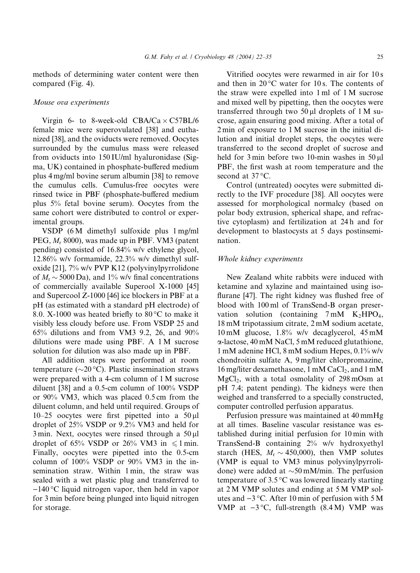methods of determining water content were then compared (Fig. 4).

## Mouse ova experiments

Virgin 6- to 8-week-old  $CBA/Ca \times C57BL/6$ female mice were superovulated [38] and euthanized [38], and the oviducts were removed. Oocytes surrounded by the cumulus mass were released from oviducts into 150 IU/ml hyaluronidase (Sigma, UK) contained in phosphate-buffered medium plus 4 mg/ml bovine serum albumin [38] to remove the cumulus cells. Cumulus-free oocytes were rinsed twice in PBF (phosphate-buffered medium plus 5% fetal bovine serum). Oocytes from the same cohort were distributed to control or experimental groups.

VSDP (6 M dimethyl sulfoxide plus 1 mg/ml PEG,  $M_r$  8000), was made up in PBF. VM3 (patent pending) consisted of 16.84% w/v ethylene glycol, 12.86% w/v formamide, 22.3% w/v dimethyl sulfoxide [21], 7% w/v PVP K12 (polyvinylpyrrolidone of  $M_r \sim 5000 \text{ Da}$ , and 1% w/v final concentrations of commercially available Superool X-1000 [45] and Supercool Z-1000 [46] ice blockers in PBF at a pH (as estimated with a standard pH electrode) of 8.0. X-1000 was heated briefly to  $80^{\circ}$ C to make it visibly less cloudy before use. From VSDP 25 and 65% dilutions and from VM3 9.2, 26, and 90% dilutions were made using PBF. A 1 M sucrose solution for dilution was also made up in PBF.

All addition steps were performed at room temperature ( $\sim$ 20 °C). Plastic insemination straws were prepared with a 4-cm column of 1 M sucrose diluent [38] and a 0.5-cm column of 100% VSDP or 90% VM3, which was placed 0.5 cm from the diluent column, and held until required. Groups of 10–25 oocytes were first pipetted into a  $50 \mu$ l droplet of 25% VSDP or 9.2% VM3 and held for  $3 \text{ min. Next, oocytes were rinsed through a } 50 \mu l$ droplet of 65% VSDP or 26% VM3 in  $\leq 1$  min. Finally, oocytes were pipetted into the 0.5-cm column of 100% VSDP or 90% VM3 in the insemination straw. Within 1 min, the straw was sealed with a wet plastic plug and transferred to  $-140$  °C liquid nitrogen vapor, then held in vapor for 3 min before being plunged into liquid nitrogen for storage.

Vitrified oocytes were rewarmed in air for 10 s and then in  $20^{\circ}$ C water for 10 s. The contents of the straw were expelled into 1 ml of 1 M sucrose and mixed well by pipetting, then the oocytes were transferred through two  $50 \mu l$  droplets of 1 M sucrose, again ensuring good mixing. After a total of 2 min of exposure to 1 M sucrose in the initial dilution and initial droplet steps, the oocytes were transferred to the second droplet of sucrose and held for  $3 \text{ min}$  before two 10-min washes in  $50 \mu$ l PBF, the first wash at room temperature and the second at 37 °C.

Control (untreated) oocytes were submitted directly to the IVF procedure [38]. All oocytes were assessed for morphological normalcy (based on polar body extrusion, spherical shape, and refractive cytoplasm) and fertilization at 24 h and for development to blastocysts at 5 days postinsemination.

## Whole kidney experiments

New Zealand white rabbits were induced with ketamine and xylazine and maintained using isoflurane [47]. The right kidney was flushed free of blood with 100 ml of TransSend-B organ preservation solution (containing  $7 \text{ mM}$  K<sub>2</sub>HPO<sub>4</sub>, 18 mM tripotassium citrate, 2 mM sodium acetate, 10 mM glucose, 1.8% w/v decaglycerol, 45 mM a-lactose, 40 mM NaCl, 5 mM reduced glutathione, 1 mM adenine HCl, 8 mM sodium Hepes, 0.1% w/v chondroitin sulfate A, 9 mg/liter chlorpromazine, 16 mg/liter dexamethasone, 1 mM  $CaCl<sub>2</sub>$ , and 1 mM  $MgCl<sub>2</sub>$ , with a total osmolality of 298 mOsm at pH 7.4; patent pending). The kidneys were then weighed and transferred to a specially constructed, computer controlled perfusion apparatus.

Perfusion pressure was maintained at 40 mmHg at all times. Baseline vascular resistance was established during initial perfusion for 10 min with TransSend-B containing 2% w/v hydroxyethyl starch (HES,  $M_r \sim 450,000$ ), then VMP solutes (VMP is equal to VM3 minus polyvinylpyrrolidone) were added at  $\sim 50$  mM/min. The perfusion temperature of  $3.5^{\circ}$ C was lowered linearly starting at 2 M VMP solutes and ending at 5 M VMP solutes and  $-3$  °C. After 10 min of perfusion with 5 M VMP at  $-3$  °C, full-strength (8.4 M) VMP was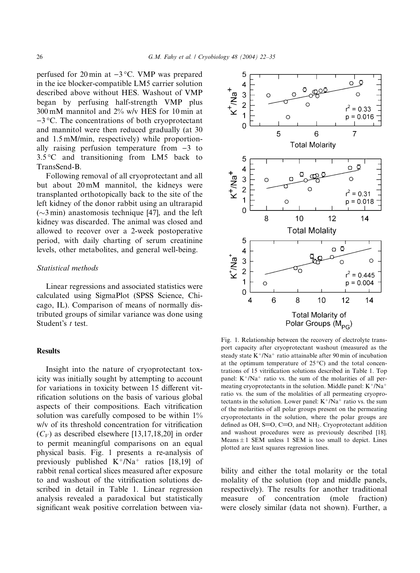perfused for 20 min at  $-3$  °C. VMP was prepared in the ice blocker-compatible LM5 carrier solution described above without HES. Washout of VMP began by perfusing half-strength VMP plus 300 mM mannitol and 2% w/v HES for 10 min at  $-3$  °C. The concentrations of both cryoprotectant and mannitol were then reduced gradually (at 30 and 1.5 mM/min, respectively) while proportionally raising perfusion temperature from  $-3$  to  $3.5^{\circ}$ C and transitioning from LM5 back to TransSend-B.

Following removal of all cryoprotectant and all but about 20 mM mannitol, the kidneys were transplanted orthotopically back to the site of the left kidney of the donor rabbit using an ultrarapid  $(\sim 3 \text{ min})$  anastomosis technique [47], and the left kidney was discarded. The animal was closed and allowed to recover over a 2-week postoperative period, with daily charting of serum creatinine levels, other metabolites, and general well-being.

## Statistical methods

Linear regressions and associated statistics were calculated using SigmaPlot (SPSS Science, Chicago, IL). Comparison of means of normally distributed groups of similar variance was done using Student's  $t$  test.

## Results

Insight into the nature of cryoprotectant toxicity was initially sought by attempting to account for variations in toxicity between 15 different vitrification solutions on the basis of various global aspects of their compositions. Each vitrification solution was carefully composed to be within  $1\%$ w/v of its threshold concentration for vitrification  $(C_V)$  as described elsewhere [13,17,18,20] in order to permit meaningful comparisons on an equal physical basis. Fig. 1 presents a re-analysis of previously published  $K^+/Na^+$  ratios [18,19] of rabbit renal cortical slices measured after exposure to and washout of the vitrification solutions described in detail in Table 1. Linear regression analysis revealed a paradoxical but statistically significant weak positive correlation between via-



Fig. 1. Relationship between the recovery of electrolyte transport capacity after cryoprotectant washout (measured as the steady state  $K^+/Na^+$  ratio attainable after 90 min of incubation at the optimum temperature of  $25^{\circ}$ C) and the total concentrations of 15 vitrification solutions described in Table 1. Top panel:  $K^+/Na^+$  ratio vs. the sum of the molarities of all permeating cryoprotectants in the solution. Middle panel:  $K^+ / Na^+$ ratio vs. the sum of the molalities of all permeating cryoprotectants in the solution. Lower panel:  $K^+/Na^+$  ratio vs. the sum of the molarities of all polar groups present on the permeating cryoprotectants in the solution, where the polar groups are defined as OH,  $S=O$ ,  $C=O$ , and  $NH<sub>2</sub>$ . Cryoprotectant addition and washout procedures were as previously described [18]. Means  $\pm 1$  SEM unless 1 SEM is too small to depict. Lines plotted are least squares regression lines.

bility and either the total molarity or the total molality of the solution (top and middle panels, respectively). The results for another traditional measure of concentration (mole fraction) were closely similar (data not shown). Further, a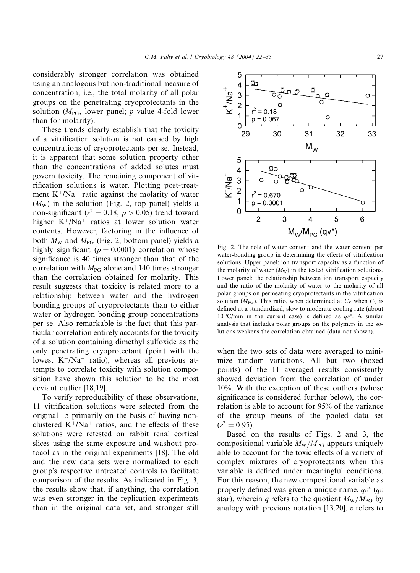considerably stronger correlation was obtained using an analogous but non-traditional measure of concentration, i.e., the total molarity of all polar groups on the penetrating cryoprotectants in the solution ( $M_{\text{PG}}$ , lower panel; p value 4-fold lower than for molarity).

These trends clearly establish that the toxicity of a vitrification solution is not caused by high concentrations of cryoprotectants per se. Instead, it is apparent that some solution property other than the concentrations of added solutes must govern toxicity. The remaining component of vitrification solutions is water. Plotting post-treatment  $K^+/Na^+$  ratio against the molarity of water  $(M_W)$  in the solution (Fig. 2, top panel) yields a non-significant ( $r^2 = 0.18$ ,  $p > 0.05$ ) trend toward higher  $K^+/Na^+$  ratios at lower solution water contents. However, factoring in the influence of both  $M_W$  and  $M_{PG}$  (Fig. 2, bottom panel) yields a highly significant ( $p = 0.0001$ ) correlation whose significance is 40 times stronger than that of the correlation with  $M_{\text{PG}}$  alone and 140 times stronger than the correlation obtained for molarity. This result suggests that toxicity is related more to a relationship between water and the hydrogen bonding groups of cryoprotectants than to either water or hydrogen bonding group concentrations per se. Also remarkable is the fact that this particular correlation entirely accounts for the toxicity of a solution containing dimethyl sulfoxide as the only penetrating cryoprotectant (point with the lowest  $K^+/Na^+$  ratio), whereas all previous attempts to correlate toxicity with solution composition have shown this solution to be the most deviant outlier [18,19].

To verify reproducibility of these observations, 11 vitrification solutions were selected from the original 15 primarily on the basis of having nonclustered  $K^+/Na^+$  ratios, and the effects of these solutions were retested on rabbit renal cortical slices using the same exposure and washout protocol as in the original experiments [18]. The old and the new data sets were normalized to each group's respective untreated controls to facilitate comparison of the results. As indicated in Fig. 3, the results show that, if anything, the correlation was even stronger in the replication experiments than in the original data set, and stronger still



Fig. 2. The role of water content and the water content per water-bonding group in determining the effects of vitrification solutions. Upper panel: ion transport capacity as a function of the molarity of water  $(M_W)$  in the tested vitrification solutions. Lower panel: the relationship between ion transport capacity and the ratio of the molarity of water to the molarity of all polar groups on permeating cryoprotectants in the vitrification solution ( $M_{PG}$ ). This ratio, when determined at  $C_V$  when  $C_V$  is defined at a standardized, slow to moderate cooling rate (about 10 °C/min in the current case) is defined as  $qv^*$ . A similar analysis that includes polar groups on the polymers in the solutions weakens the correlation obtained (data not shown).

when the two sets of data were averaged to minimize random variations. All but two (boxed points) of the 11 averaged results consistently showed deviation from the correlation of under 10%. With the exception of these outliers (whose significance is considered further below), the correlation is able to account for 95% of the variance of the group means of the pooled data set  $(r^2 = 0.95)$ .

Based on the results of Figs. 2 and 3, the compositional variable  $M_{\rm W}/M_{\rm PG}$  appears uniquely able to account for the toxic effects of a variety of complex mixtures of cryoprotectants when this variable is defined under meaningful conditions. For this reason, the new compositional variable as properly defined was given a unique name,  $qv^*(qv)$ star), wherein q refers to the quotient  $M_{\rm W}/M_{\rm PG}$  by analogy with previous notation  $[13,20]$ , v refers to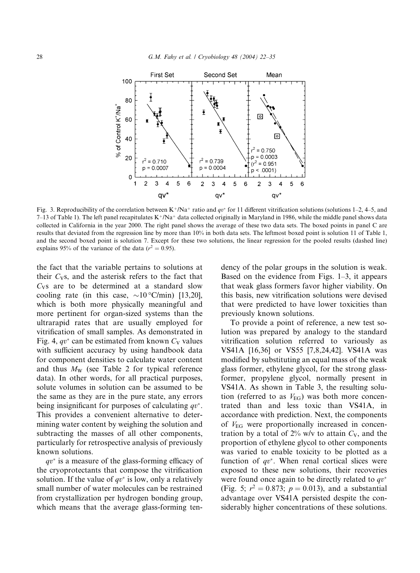

Fig. 3. Reproducibility of the correlation between K<sup>+</sup>/Na<sup>+</sup> ratio and  $qv^*$  for 11 different vitrification solutions (solutions 1–2, 4–5, and 7–13 of Table 1). The left panel recapitulates  $K^+/Na^+$  data collected originally in Maryland in 1986, while the middle panel shows data collected in California in the year 2000. The right panel shows the average of these two data sets. The boxed points in panel C are results that deviated from the regression line by more than 10% in both data sets. The leftmost boxed point is solution 11 of Table 1, and the second boxed point is solution 7. Except for these two solutions, the linear regression for the pooled results (dashed line) explains 95% of the variance of the data ( $r^2 = 0.95$ ).

the fact that the variable pertains to solutions at their  $C_{V}$ s, and the asterisk refers to the fact that  $C_Vs$  are to be determined at a standard slow cooling rate (in this case,  $\sim 10$  °C/min) [13,20], which is both more physically meaningful and more pertinent for organ-sized systems than the ultrarapid rates that are usually employed for vitrification of small samples. As demonstrated in Fig. 4,  $qv^*$  can be estimated from known  $C_V$  values with sufficient accuracy by using handbook data for component densities to calculate water content and thus  $M_W$  (see Table 2 for typical reference data). In other words, for all practical purposes, solute volumes in solution can be assumed to be the same as they are in the pure state, any errors being insignificant for purposes of calculating  $qv^*$ . This provides a convenient alternative to determining water content by weighing the solution and subtracting the masses of all other components, particularly for retrospective analysis of previously known solutions.

 $qv^*$  is a measure of the glass-forming efficacy of the cryoprotectants that compose the vitrification solution. If the value of  $qv^*$  is low, only a relatively small number of water molecules can be restrained from crystallization per hydrogen bonding group, which means that the average glass-forming tendency of the polar groups in the solution is weak. Based on the evidence from Figs. 1–3, it appears that weak glass formers favor higher viability. On this basis, new vitrification solutions were devised that were predicted to have lower toxicities than previously known solutions.

To provide a point of reference, a new test solution was prepared by analogy to the standard vitrification solution referred to variously as VS41A [16,36] or VS55 [7,8,24,42]. VS41A was modified by substituting an equal mass of the weak glass former, ethylene glycol, for the strong glassformer, propylene glycol, normally present in VS41A. As shown in Table 3, the resulting solution (referred to as  $V_{\text{EG}}$ ) was both more concentrated than and less toxic than VS41A, in accordance with prediction. Next, the components of  $V_{\text{EG}}$  were proportionally increased in concentration by a total of  $2\%$  w/v to attain  $C_V$ , and the proportion of ethylene glycol to other components was varied to enable toxicity to be plotted as a function of  $qv^*$ . When renal cortical slices were exposed to these new solutions, their recoveries were found once again to be directly related to  $qv^*$ (Fig. 5;  $r^2 = 0.873$ ;  $p = 0.013$ ), and a substantial advantage over VS41A persisted despite the considerably higher concentrations of these solutions.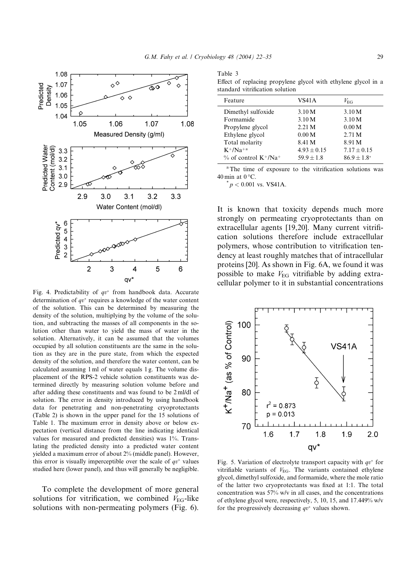

Fig. 4. Predictability of  $qv^*$  from handbook data. Accurate determination of  $qv^*$  requires a knowledge of the water content of the solution. This can be determined by measuring the density of the solution, multiplying by the volume of the solution, and subtracting the masses of all components in the solution other than water to yield the mass of water in the solution. Alternatively, it can be assumed that the volumes occupied by all solution constituents are the same in the solution as they are in the pure state, from which the expected density of the solution, and therefore the water content, can be calculated assuming 1 ml of water equals 1 g. The volume displacement of the RPS-2 vehicle solution constituents was determined directly by measuring solution volume before and after adding these constituents and was found to be 2 ml/dl of solution. The error in density introduced by using handbook data for penetrating and non-penetrating cryoprotectants (Table 2) is shown in the upper panel for the 15 solutions of Table 1. The maximum error in density above or below expectation (vertical distance from the line indicating identical values for measured and predicted densities) was 1%. Translating the predicted density into a predicted water content yielded a maximum error of about 2% (middle panel). However, this error is visually imperceptible over the scale of  $qv^*$  values studied here (lower panel), and thus will generally be negligible.

To complete the development of more general solutions for vitrification, we combined  $V_{EG}$ -like solutions with non-permeating polymers (Fig. 6).

| ш<br>٠<br>۰,<br>× |  |  |
|-------------------|--|--|
|-------------------|--|--|

Effect of replacing propylene glycol with ethylene glycol in a standard vitrification solution

| Feature                                         | VS41 A          | $V_{\rm FG}$      |
|-------------------------------------------------|-----------------|-------------------|
| Dimethyl sulfoxide                              | 3.10 M          | 3.10 M            |
| Formamide                                       | 3.10 M          | 3.10 M            |
| Propylene glycol                                | 2.21 M          | 0.00 <sub>M</sub> |
| Ethylene glycol                                 | 0.00 M          | 2.71 M            |
| Total molarity                                  | 8.41 M          | 8.91 M            |
| $K^+/Na^{+a}$                                   | $4.93 \pm 0.15$ | $7.17 \pm 0.15$   |
| $\%$ of control K <sup>+</sup> /Na <sup>+</sup> | $59.9 \pm 1.8$  | $86.9 \pm 1.8^*$  |

<sup>a</sup>The time of exposure to the vitrification solutions was 40 min at 0 °C.<br>  $* p < 0.001$  vs. VS41A.

It is known that toxicity depends much more strongly on permeating cryoprotectants than on extracellular agents [19,20]. Many current vitrification solutions therefore include extracellular polymers, whose contribution to vitrification tendency at least roughly matches that of intracellular proteins [20]. As shown in Fig. 6A, we found it was possible to make  $V_{EG}$  vitrifiable by adding extracellular polymer to it in substantial concentrations



Fig. 5. Variation of electrolyte transport capacity with  $qv^*$  for vitrifiable variants of  $V_{EG}$ . The variants contained ethylene glycol, dimethyl sulfoxide, and formamide, where the mole ratio of the latter two cryoprotectants was fixed at 1:1. The total concentration was 57% w/v in all cases, and the concentrations of ethylene glycol were, respectively, 5, 10, 15, and 17.449% w/v for the progressively decreasing  $qv^*$  values shown.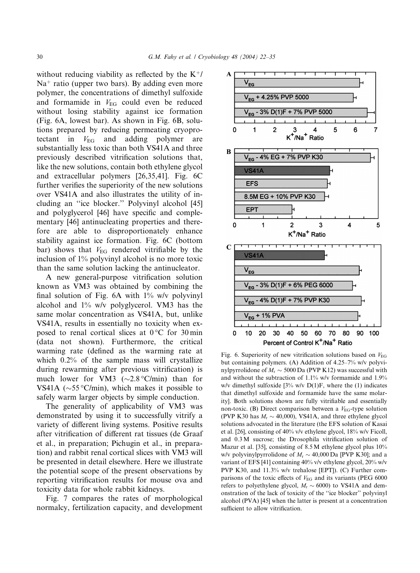without reducing viability as reflected by the  $K^+/$  $Na<sup>+</sup>$  ratio (upper two bars). By adding even more polymer, the concentrations of dimethyl sulfoxide and formamide in  $V_{EG}$  could even be reduced without losing stability against ice formation (Fig. 6A, lowest bar). As shown in Fig. 6B, solutions prepared by reducing permeating cryoprotectant in  $V_{EG}$  and adding polymer are substantially less toxic than both VS41A and three previously described vitrification solutions that, like the new solutions, contain both ethylene glycol and extracellular polymers [26,35,41]. Fig. 6C further verifies the superiority of the new solutions over VS41A and also illustrates the utility of including an ''ice blocker.'' Polyvinyl alcohol [45] and polyglycerol [46] have specific and complementary [46] antinucleating properties and therefore are able to disproportionately enhance stability against ice formation. Fig. 6C (bottom bar) shows that  $V_{EG}$  rendered vitrifiable by the inclusion of 1% polyvinyl alcohol is no more toxic than the same solution lacking the antinucleator.

A new general-purpose vitrification solution known as VM3 was obtained by combining the final solution of Fig.  $6A$  with  $1\%$  w/v polyvinyl alcohol and 1% w/v polyglycerol. VM3 has the same molar concentration as VS41A, but, unlike VS41A, results in essentially no toxicity when exposed to renal cortical slices at  $0^{\circ}$ C for 30 min (data not shown). Furthermore, the critical warming rate (defined as the warming rate at which 0.2% of the sample mass will crystallize during rewarming after previous vitrification) is much lower for VM3 ( $\sim$ 2.8 °C/min) than for VS41A ( $\sim$ 55 °C/min), which makes it possible to safely warm larger objects by simple conduction.

The generality of applicability of VM3 was demonstrated by using it to successfully vitrify a variety of different living systems. Positive results after vitrification of different rat tissues (de Graaf et al., in preparation; Pichugin et al., in preparation) and rabbit renal cortical slices with VM3 will be presented in detail elsewhere. Here we illustrate the potential scope of the present observations by reporting vitrification results for mouse ova and toxicity data for whole rabbit kidneys.

Fig. 7 compares the rates of morphological normalcy, fertilization capacity, and development



Fig. 6. Superiority of new vitrification solutions based on  $V_{\text{EG}}$ but containing polymers. (A) Addition of 4.25–7% w/v polyvinylpyrrolidone of  $M_r \sim 5000$  Da (PVP K12) was successful with and without the subtraction of 1.1% w/v formamide and 1.9% w/v dimethyl sulfoxide  $[3\%$  w/v D(1)F, where the (1) indicates that dimethyl sulfoxide and formamide have the same molarity]. Both solutions shown are fully vitrifiable and essentially non-toxic. (B) Direct comparison between a  $V_{\text{EG}}$ -type solution (PVP K30 has  $M_r \sim 40,000$ ), VS41A, and three ethylene glycol solutions advocated in the literature (the EFS solution of Kasai et al. [26], consisting of 40% v/v ethylene glycol, 18% w/v Ficoll, and 0.3 M sucrose; the Drosophila vitrification solution of Mazur et al. [35], consisting of 8.5 M ethylene glycol plus 10% w/v polyvinylpyrrolidone of  $M_r \sim 40,000$  Da [PVP K30]; and a variant of EFS [41] containing 40% v/v ethylene glycol, 20% w/v PVP K30, and 11.3% w/v trehalose [EPT]). (C) Further comparisons of the toxic effects of  $V_{\text{EG}}$  and its variants (PEG 6000 refers to polyethylene glycol,  $M_r \sim 6000$ ) to VS41A and demonstration of the lack of toxicity of the ''ice blocker'' polyvinyl alcohol (PVA) [45] when the latter is present at a concentration sufficient to allow vitrification.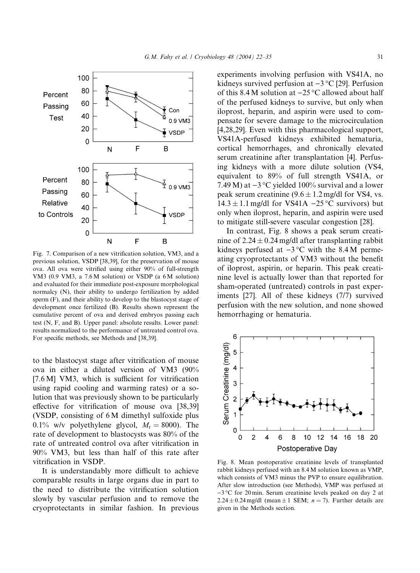

Fig. 7. Comparison of a new vitrification solution, VM3, and a previous solution, VSDP [38,39], for the preservation of mouse ova. All ova were vitrified using either 90% of full-strength VM3 (0.9 VM3, a 7.6M solution) or VSDP (a 6M solution) and evaluated for their immediate post-exposure morphological normalcy (N), their ability to undergo fertilization by added sperm (F), and their ability to develop to the blastocyst stage of development once fertilized (B). Results shown represent the cumulative percent of ova and derived embryos passing each test (N, F, and B). Upper panel: absolute results. Lower panel: results normalized to the performance of untreated control ova. For specific methods, see Methods and [38,39].

to the blastocyst stage after vitrification of mouse ova in either a diluted version of VM3 (90% [7.6 M] VM3, which is sufficient for vitrification using rapid cooling and warming rates) or a solution that was previously shown to be particularly effective for vitrification of mouse ova [38,39] (VSDP, consisting of 6 M dimethyl sulfoxide plus 0.1% w/v polyethylene glycol,  $M_r = 8000$ ). The rate of development to blastocysts was 80% of the rate of untreated control ova after vitrification in 90% VM3, but less than half of this rate after vitrification in VSDP.

It is understandably more difficult to achieve comparable results in large organs due in part to the need to distribute the vitrification solution slowly by vascular perfusion and to remove the cryoprotectants in similar fashion. In previous

experiments involving perfusion with VS41A, no kidneys survived perfusion at  $-3$  °C [29]. Perfusion of this 8.4 M solution at  $-25$  °C allowed about half of the perfused kidneys to survive, but only when iloprost, heparin, and aspirin were used to compensate for severe damage to the microcirculation [4,28,29]. Even with this pharmacological support, VS41A-perfused kidneys exhibited hematuria, cortical hemorrhages, and chronically elevated serum creatinine after transplantation [4]. Perfusing kidneys with a more dilute solution (VS4, equivalent to 89% of full strength VS41A, or 7.49 M) at  $-3$  °C yielded 100% survival and a lower peak serum creatinine  $(9.6 \pm 1.2 \,\text{mg/dl}$  for VS4, vs.  $14.3 \pm 1.1$  mg/dl for VS41A  $-25$  °C survivors) but only when iloprost, heparin, and aspirin were used to mitigate still-severe vascular congestion [28].

In contrast, Fig. 8 shows a peak serum creatinine of 2.24  $\pm$  0.24 mg/dl after transplanting rabbit kidneys perfused at  $-3$  °C with the 8.4 M permeating cryoprotectants of VM3 without the benefit of iloprost, aspirin, or heparin. This peak creatinine level is actually lower than that reported for sham-operated (untreated) controls in past experiments [27]. All of these kidneys (7/7) survived perfusion with the new solution, and none showed hemorrhaging or hematuria.



Fig. 8. Mean postoperative creatinine levels of transplanted rabbit kidneys perfused with an 8.4 M solution known as VMP, which consists of VM3 minus the PVP to ensure equilibration. After slow introduction (see Methods), VMP was perfused at  $-3$  °C for 20 min. Serum creatinine levels peaked on day 2 at  $2.24 \pm 0.24$  mg/dl (mean  $\pm 1$  SEM;  $n = 7$ ). Further details are given in the Methods section.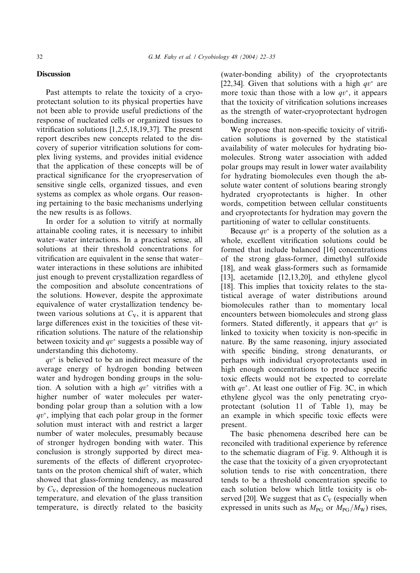#### **Discussion**

Past attempts to relate the toxicity of a cryoprotectant solution to its physical properties have not been able to provide useful predictions of the response of nucleated cells or organized tissues to vitrification solutions [1,2,5,18,19,37]. The present report describes new concepts related to the discovery of superior vitrification solutions for complex living systems, and provides initial evidence that the application of these concepts will be of practical significance for the cryopreservation of sensitive single cells, organized tissues, and even systems as complex as whole organs. Our reasoning pertaining to the basic mechanisms underlying the new results is as follows.

In order for a solution to vitrify at normally attainable cooling rates, it is necessary to inhibit water–water interactions. In a practical sense, all solutions at their threshold concentrations for vitrification are equivalent in the sense that water– water interactions in these solutions are inhibited just enough to prevent crystallization regardless of the composition and absolute concentrations of the solutions. However, despite the approximate equivalence of water crystallization tendency between various solutions at  $C_V$ , it is apparent that large differences exist in the toxicities of these vitrification solutions. The nature of the relationship between toxicity and  $qv^*$  suggests a possible way of understanding this dichotomy.

 $qv^*$  is believed to be an indirect measure of the average energy of hydrogen bonding between water and hydrogen bonding groups in the solution. A solution with a high  $qv^*$  vitrifies with a higher number of water molecules per waterbonding polar group than a solution with a low  $qv^*$ , implying that each polar group in the former solution must interact with and restrict a larger number of water molecules, presumably because of stronger hydrogen bonding with water. This conclusion is strongly supported by direct measurements of the effects of different cryoprotectants on the proton chemical shift of water, which showed that glass-forming tendency, as measured by  $C_V$ , depression of the homogeneous nucleation temperature, and elevation of the glass transition temperature, is directly related to the basicity

(water-bonding ability) of the cryoprotectants [22,34]. Given that solutions with a high  $qv^*$  are more toxic than those with a low  $qv^*$ , it appears that the toxicity of vitrification solutions increases as the strength of water-cryoprotectant hydrogen bonding increases.

We propose that non-specific toxicity of vitrification solutions is governed by the statistical availability of water molecules for hydrating biomolecules. Strong water association with added polar groups may result in lower water availability for hydrating biomolecules even though the absolute water content of solutions bearing strongly hydrated cryoprotectants is higher. In other words, competition between cellular constituents and cryoprotectants for hydration may govern the partitioning of water to cellular constituents.

Because  $qv^*$  is a property of the solution as a whole, excellent vitrification solutions could be formed that include balanced [16] concentrations of the strong glass-former, dimethyl sulfoxide [18], and weak glass-formers such as formamide [13], acetamide [12,13,20], and ethylene glycol [18]. This implies that toxicity relates to the statistical average of water distributions around biomolecules rather than to momentary local encounters between biomolecules and strong glass formers. Stated differently, it appears that  $qv^*$  is linked to toxicity when toxicity is non-specific in nature. By the same reasoning, injury associated with specific binding, strong denaturants, or perhaps with individual cryoprotectants used in high enough concentrations to produce specific toxic effects would not be expected to correlate with  $qv^*$ . At least one outlier of Fig. 3C, in which ethylene glycol was the only penetrating cryoprotectant (solution 11 of Table 1), may be an example in which specific toxic effects were present.

The basic phenomena described here can be reconciled with traditional experience by reference to the schematic diagram of Fig. 9. Although it is the case that the toxicity of a given cryoprotectant solution tends to rise with concentration, there tends to be a threshold concentration specific to each solution below which little toxicity is observed [20]. We suggest that as  $C_V$  (especially when expressed in units such as  $M_{\text{PG}}$  or  $M_{\text{PG}}/M_{\text{W}}$ ) rises,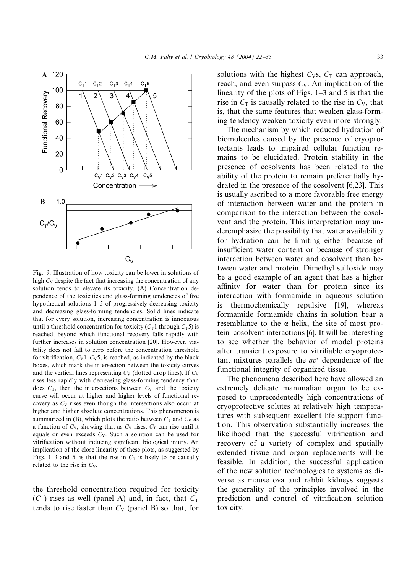

Fig. 9. Illustration of how toxicity can be lower in solutions of high  $C_V$  despite the fact that increasing the concentration of any solution tends to elevate its toxicity. (A) Concentration dependence of the toxicities and glass-forming tendencies of five hypothetical solutions 1–5 of progressively decreasing toxicity and decreasing glass-forming tendencies. Solid lines indicate that for every solution, increasing concentration is innocuous until a threshold concentration for toxicity  $(C_T1$  through  $C_T5$ ) is reached, beyond which functional recovery falls rapidly with further increases in solution concentration [20]. However, viability does not fall to zero before the concentration threshold for vitrification,  $C_V1-C_V5$ , is reached, as indicated by the black boxes, which mark the intersection between the toxicity curves and the vertical lines representing  $C_V$  (dotted drop lines). If  $C_V$ rises less rapidly with decreasing glass-forming tendency than does  $C_T$ , then the intersections between  $C_V$  and the toxicity curve will occur at higher and higher levels of functional recovery as  $C_V$  rises even though the intersections also occur at higher and higher absolute concentrations. This phenomenon is summarized in (B), which plots the ratio between  $C_T$  and  $C_V$  as a function of  $C_V$ , showing that as  $C_V$  rises,  $C_T$  can rise until it equals or even exceeds  $C_V$ . Such a solution can be used for vitrification without inducing significant biological injury. An implication of the close linearity of these plots, as suggested by Figs. 1–3 and 5, is that the rise in  $C_T$  is likely to be causally related to the rise in  $C_V$ .

the threshold concentration required for toxicity  $(C_T)$  rises as well (panel A) and, in fact, that  $C_T$ tends to rise faster than  $C_V$  (panel B) so that, for solutions with the highest  $C_Vs$ ,  $C_T$  can approach, reach, and even surpass  $C_V$ . An implication of the linearity of the plots of Figs. 1–3 and 5 is that the rise in  $C_T$  is causally related to the rise in  $C_V$ , that is, that the same features that weaken glass-forming tendency weaken toxicity even more strongly.

The mechanism by which reduced hydration of biomolecules caused by the presence of cryoprotectants leads to impaired cellular function remains to be elucidated. Protein stability in the presence of cosolvents has been related to the ability of the protein to remain preferentially hydrated in the presence of the cosolvent [6,23]. This is usually ascribed to a more favorable free energy of interaction between water and the protein in comparison to the interaction between the cosolvent and the protein. This interpretation may underemphasize the possibility that water availability for hydration can be limiting either because of insufficient water content or because of stronger interaction between water and cosolvent than between water and protein. Dimethyl sulfoxide may be a good example of an agent that has a higher affinity for water than for protein since its interaction with formamide in aqueous solution is thermochemically repulsive [19], whereas formamide–formamide chains in solution bear a resemblance to the  $\alpha$  helix, the site of most protein–cosolvent interactions [6]. It will be interesting to see whether the behavior of model proteins after transient exposure to vitrifiable cryoprotectant mixtures parallels the  $qv^*$  dependence of the functional integrity of organized tissue.

The phenomena described here have allowed an extremely delicate mammalian organ to be exposed to unprecedentedly high concentrations of cryoprotective solutes at relatively high temperatures with subsequent excellent life support function. This observation substantially increases the likelihood that the successful vitrification and recovery of a variety of complex and spatially extended tissue and organ replacements will be feasible. In addition, the successful application of the new solution technologies to systems as diverse as mouse ova and rabbit kidneys suggests the generality of the principles involved in the prediction and control of vitrification solution toxicity.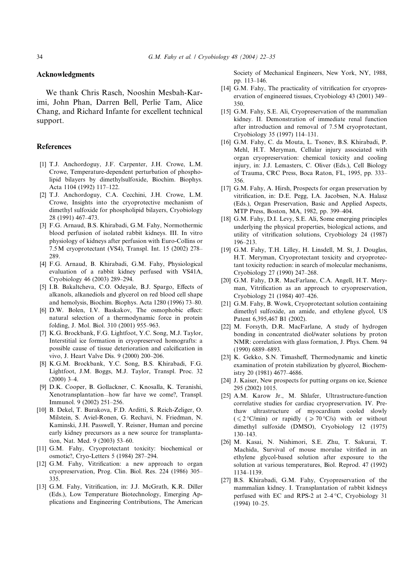## Acknowledgments

We thank Chris Rasch, Nooshin Mesbah-Karimi, John Phan, Darren Bell, Perlie Tam, Alice Chang, and Richard Infante for excellent technical support.

#### References

- [1] T.J. Anchordoguy, J.F. Carpenter, J.H. Crowe, L.M. Crowe, Temperature-dependent perturbation of phospholipid bilayers by dimethylsulfoxide, Biochim. Biophys. Acta 1104 (1992) 117–122.
- [2] T.J. Anchordoguy, C.A. Cecchini, J.H. Crowe, L.M. Crowe, Insights into the cryoprotective mechanism of dimethyl sulfoxide for phospholipid bilayers, Cryobiology 28 (1991) 467–473.
- [3] F.G. Arnaud, B.S. Khirabadi, G.M. Fahy, Normothermic blood perfusion of isolated rabbit kidneys. III. In vitro physiology of kidneys after perfusion with Euro-Collins or 7.5M cryoprotectant (VS4), Transpl. Int. 15 (2002) 278– 289.
- [4] F.G. Arnaud, B. Khirabadi, G.M. Fahy, Physiological evaluation of a rabbit kidney perfused with VS41A, Cryobiology 46 (2003) 289–294.
- [5] I.B. Bakaltcheva, C.O. Odeyale, B.J. Spargo, Effects of alkanols, alkanediols and glycerol on red blood cell shape and hemolysis, Biochim. Biophys. Acta 1280 (1996) 73–80.
- [6] D.W. Bolen, I.V. Baskakov, The osmophobic effect: natural selection of a thermodynamic force in protein folding, J. Mol. Biol. 310 (2001) 955–963.
- [7] K.G. Brockbank, F.G. Lightfoot, Y.C. Song, M.J. Taylor, Interstitial ice formation in cryopreserved homografts: a possible cause of tissue deterioration and calcification in vivo, J. Heart Valve Dis. 9 (2000) 200–206.
- [8] K.G.M. Brockbank, Y.C. Song, B.S. Khirabadi, F.G. Lightfoot, J.M. Boggs, M.J. Taylor, Transpl. Proc. 32  $(2000)$  3–4.
- [9] D.K. Cooper, B. Gollackner, C. Knosalla, K. Teranishi, Xenotransplantation—how far have we come?, Transpl. Immunol. 9 (2002) 251–256.
- [10] B. Dekel, T. Burakova, F.D. Arditti, S. Reich-Zeliger, O. Milstein, S. Aviel-Ronen, G. Rechavi, N. Friedman, N. Kaminski, J.H. Passwell, Y. Reisner, Human and porcine early kidney precursors as a new source for transplantation, Nat. Med. 9 (2003) 53–60.
- [11] G.M. Fahy, Cryoprotectant toxicity: biochemical or osmotic?, Cryo-Letters 5 (1984) 287–294.
- [12] G.M. Fahy, Vitrification: a new approach to organ cryopreservation, Prog. Clin. Biol. Res. 224 (1986) 305– 335.
- [13] G.M. Fahy, Vitrification, in: J.J. McGrath, K.R. Diller (Eds.), Low Temperature Biotechnology, Emerging Applications and Engineering Contributions, The American

Society of Mechanical Engineers, New York, NY, 1988, pp. 113–146.

- [14] G.M. Fahy, The practicality of vitrification for cryopreservation of engineered tissues, Cryobiology 43 (2001) 349– 350.
- [15] G.M. Fahy, S.E. Ali, Cryopreservation of the mammalian kidney. II. Demonstration of immediate renal function after introduction and removal of 7.5 M cryoprotectant, Cryobiology 35 (1997) 114–131.
- [16] G.M. Fahy, C. da Mouta, L. Tsonev, B.S. Khirabadi, P. Mehl, H.T. Meryman, Cellular injury associated with organ cryopreservation: chemical toxicity and cooling injury, in: J.J. Lemasters, C. Oliver (Eds.), Cell Biology of Trauma, CRC Press, Boca Raton, FL, 1995, pp. 333– 356.
- [17] G.M. Fahy, A. Hirsh, Prospects for organ preservation by vitrification, in: D.E. Pegg, I.A. Jacobsen, N.A. Halasz (Eds.), Organ Preservation, Basic and Applied Aspects, MTP Press, Boston, MA, 1982, pp. 399–404.
- [18] G.M. Fahy, D.I. Levy, S.E. Ali, Some emerging principles underlying the physical properties, biological actions, and utility of vitrification solutions, Cryobiology 24 (1987) 196–213.
- [19] G.M. Fahy, T.H. Lilley, H. Linsdell, M. St, J. Douglas, H.T. Meryman, Cryoprotectant toxicity and cryoprotectant toxicity reduction: in search of molecular mechanisms, Cryobiology 27 (1990) 247–268.
- [20] G.M. Fahy, D.R. MacFarlane, C.A. Angell, H.T. Meryman, Vitrification as an approach to cryopreservation, Cryobiology 21 (1984) 407–426.
- [21] G.M. Fahy, B. Wowk, Cryoprotectant solution containing dimethyl sulfoxide, an amide, and ethylene glycol, US Patent 6,395,467 B1 (2002).
- [22] M. Forsyth, D.R. MacFarlane, A study of hydrogen bonding in concentrated diol/water solutions by proton NMR: correlation with glass formation, J. Phys. Chem. 94 (1990) 6889–6893.
- [23] K. Gekko, S.N. Timasheff, Thermodynamic and kinetic examination of protein stabilization by glycerol, Biochemistry 20 (1981) 4677–4686.
- [24] J. Kaiser, New prospects for putting organs on ice, Science 295 (2002) 1015.
- [25] A.M. Karow Jr., M. Shlafer, Ultrastructure-function correlative studies for cardiac cryopreservation. IV. Prethaw ultrastructure of myocardium cooled slowly  $({\leq 2^{\circ}C/min})$  or rapidly  $({\geq 70^{\circ}C/s})$  with or without dimethyl sulfoxide (DMSO), Cryobiology 12 (1975) 130–143.
- [26] M. Kasai, N. Nishimori, S.E. Zhu, T. Sakurai, T. Machida, Survival of mouse morulae vitrified in an ethylene glycol-based solution after exposure to the solution at various temperatures, Biol. Reprod. 47 (1992) 1134–1139.
- [27] B.S. Khirabadi, G.M. Fahy, Cryopreservation of the mammalian kidney. I. Transplantation of rabbit kidneys perfused with EC and RPS-2 at  $2-4$  °C, Cryobiology 31 (1994) 10–25.